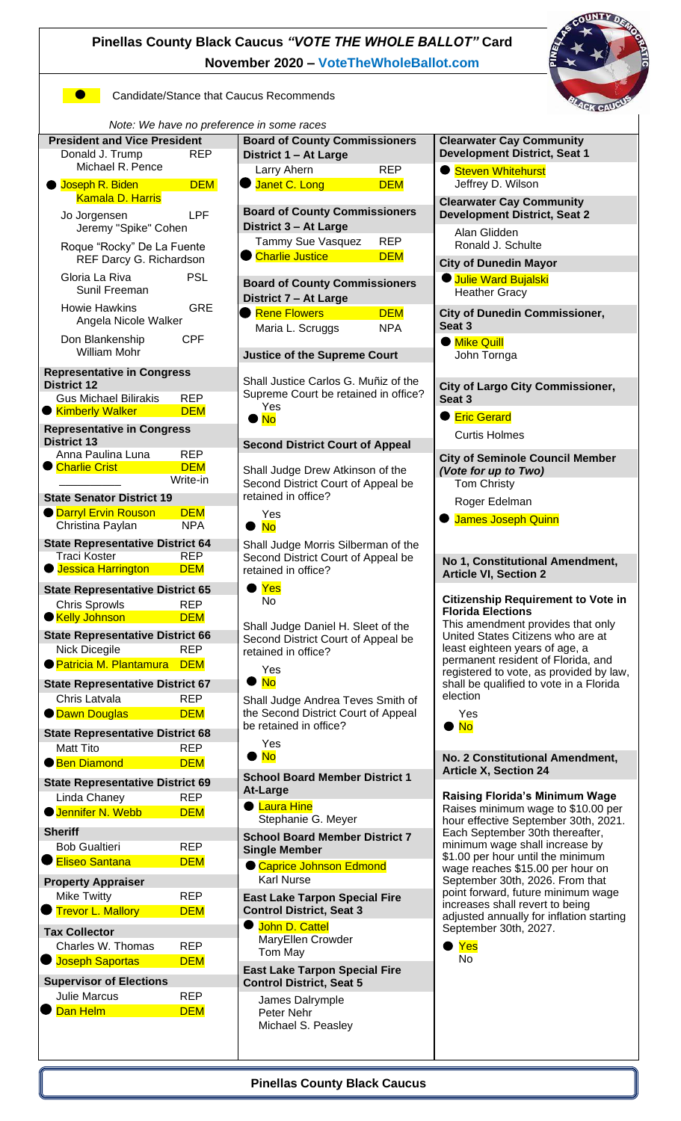# **Pinellas County Black Caucus** *"VOTE THE WHOLE BALLOT"* **Card November 2020 – [VoteTheWholeBallot.com](http://www.votethewholeballot.com/)**



**Candidate/Stance that Caucus Recommends** 





| <b>President and Vice President</b>                 | E                        |
|-----------------------------------------------------|--------------------------|
| Donald J. Trump<br><b>REP</b>                       | L                        |
|                                                     |                          |
| Michael R. Pence                                    |                          |
| Joseph R. Biden<br><b>DEM</b><br>۰                  |                          |
| <b>Kamala D. Harris</b>                             |                          |
|                                                     |                          |
| LPF<br>Jo Jorgensen                                 | E                        |
| Jeremy "Spike" Cohen                                | L                        |
|                                                     |                          |
| Roque "Rocky" De La Fuente                          |                          |
| REF Darcy G. Richardson                             |                          |
|                                                     |                          |
| <b>PSL</b><br>Gloria La Riva                        |                          |
| Sunil Freeman                                       | E                        |
|                                                     | I                        |
| <b>Howie Hawkins</b><br>GRE                         |                          |
| Angela Nicole Walker                                |                          |
|                                                     |                          |
| <b>CPF</b><br>Don Blankenship                       |                          |
| William Mohr                                        |                          |
|                                                     | $\overline{\phantom{0}}$ |
|                                                     |                          |
| <b>Representative in Congress</b>                   |                          |
| <b>District 12</b>                                  | Ś                        |
| <b>Gus Michael Bilirakis</b><br><b>REP</b>          |                          |
| ● <mark>Kimberly Walker</mark><br><b>DEM</b>        |                          |
|                                                     |                          |
| <b>Representative in Congress</b>                   |                          |
| <b>District 13</b>                                  | $\ddot{\bm{c}}$          |
| Anna Paulina Luna<br><b>REP</b>                     |                          |
|                                                     |                          |
| Charlie Crist<br><b>DEM</b>                         | ξ                        |
| Write-in                                            | Ś                        |
|                                                     | r                        |
| <b>State Senator District 19</b>                    |                          |
| <b>Darryl Ervin Rouson</b><br><b>DEM</b>            |                          |
| Christina Paylan<br><b>NPA</b>                      |                          |
|                                                     |                          |
| <b>State Representative District 64</b>             |                          |
| <b>REP</b><br><b>Traci Koster</b>                   | ś                        |
| <b>Uessica Harrington</b>                           |                          |
| <b>DEM</b>                                          | r                        |
|                                                     |                          |
| <b>State Representative District 65</b>             |                          |
| <b>Chris Sprowls</b><br><b>REP</b>                  |                          |
| ● Kelly Johnson<br><b>DEM</b>                       |                          |
|                                                     | ŗ                        |
| <b>State Representative District 66</b>             | Ś                        |
| <b>REP</b><br>Nick Dicegile                         | r                        |
|                                                     |                          |
| ● <mark>Patricia M. Plantamura</mark><br><b>DEM</b> |                          |
|                                                     |                          |
| <b>State Representative District 67</b>             |                          |
| <b>REP</b><br>Chris Latvala                         | ξ                        |
|                                                     |                          |
| <b>O</b> Dawn Douglas<br><b>DEM</b>                 | t                        |
| <b>State Representative District 68</b>             | ł,                       |
|                                                     |                          |
| Matt Tito<br><b>REP</b>                             |                          |
| ● Ben Diamond<br><b>DEM</b>                         |                          |
|                                                     |                          |
| <b>State Representative District 69</b>             | í                        |
| Linda Chaney<br><b>REP</b>                          | I                        |
|                                                     |                          |
| <b>Jennifer N. Webb</b><br><b>DEM</b>               |                          |
|                                                     |                          |
| <b>Sheriff</b>                                      | $\ddot{\phantom{0}}$     |
| <b>Bob Gualtieri</b><br><b>REP</b>                  | Ś                        |
| <b>Eliseo Santana</b>                               |                          |
| <b>DEM</b>                                          |                          |
|                                                     |                          |
| <b>Property Appraiser</b>                           |                          |
| <b>Mike Twitty</b><br>REP                           | E                        |
| <b>Trevor L. Mallory</b><br><b>DEM</b>              | $\mathbf \zeta$          |
|                                                     |                          |
| <b>Tax Collector</b>                                |                          |
|                                                     |                          |
| Charles W. Thomas<br><b>REP</b>                     |                          |
| <b>DEM</b><br><b>Joseph Saportas</b>                |                          |
|                                                     | E                        |
| <b>Supervisor of Elections</b>                      | $\overline{a}$           |
|                                                     |                          |
| <b>Julie Marcus</b><br>REP                          |                          |
| Dan Helm<br><b>DEM</b>                              |                          |
|                                                     |                          |
|                                                     |                          |

| ce in some races<br><b>Board of County Commissioners</b>                                                                            |                          |  |  |
|-------------------------------------------------------------------------------------------------------------------------------------|--------------------------|--|--|
| District 1 - At Large                                                                                                               |                          |  |  |
| Larry Ahern<br>Janet C. Long                                                                                                        | <b>REP</b><br><b>DEM</b> |  |  |
|                                                                                                                                     |                          |  |  |
| <b>Board of County Commissioners</b><br>District 3 - At Large                                                                       |                          |  |  |
| Tammy Sue Vasquez<br><b>Charlie Justice</b>                                                                                         | REP<br><b>DEM</b>        |  |  |
|                                                                                                                                     |                          |  |  |
| <b>Board of County Commissioners</b><br>District 7 - At Large                                                                       |                          |  |  |
| <b>Rene Flowers</b>                                                                                                                 | <b>DEM</b><br>NPA        |  |  |
| Maria L. Scruggs                                                                                                                    |                          |  |  |
| <b>Justice of the Supreme Court</b>                                                                                                 |                          |  |  |
| Shall Justice Carlos G. Muñiz of the<br>Supreme Court be retained in office?<br>Yes<br>$\bullet$ No                                 |                          |  |  |
| <b>Second District Court of Appeal</b>                                                                                              |                          |  |  |
| Shall Judge Drew Atkinson of the<br>Second District Court of Appeal be<br>retained in office?                                       |                          |  |  |
| Yes<br><u>No</u>                                                                                                                    |                          |  |  |
| Shall Judge Morris Silberman of the<br>Second District Court of Appeal be<br>retained in office?<br>$\blacktriangleright$ Yes<br>No |                          |  |  |
| Shall Judge Daniel H. Sleet of the<br>Second District Court of Appeal be<br>retained in office?                                     |                          |  |  |
| Yes<br><b>No</b><br>$\bullet$                                                                                                       |                          |  |  |
| Shall Judge Andrea Teves Smith of<br>the Second District Court of Appeal<br>be retained in office?                                  |                          |  |  |
| Yes<br>$\bullet$ No                                                                                                                 |                          |  |  |
| <b>School Board Member District 1</b><br><b>At-Large</b>                                                                            |                          |  |  |
| <b>C</b> Laura Hine<br>Stephanie G. Meyer                                                                                           |                          |  |  |
| <b>School Board Member District 7</b><br><b>Single Member</b>                                                                       |                          |  |  |
| Caprice Johnson Edmond<br><b>Karl Nurse</b>                                                                                         |                          |  |  |
| <b>East Lake Tarpon Special Fire</b><br><b>Control District, Seat 3</b>                                                             |                          |  |  |
| ● John D. Cattel<br>MaryEllen Crowder<br>Tom May                                                                                    |                          |  |  |
| <b>East Lake Tarpon Special Fire</b><br><b>Control District, Seat 5</b>                                                             |                          |  |  |

James Dalrymple Peter Nehr Michael S. Peasley

#### **Clearwater Cay Community Development District, Seat 1**

Steven Whitehurst Jeffrey D. Wilson

**Clearwater Cay Community Development District, Seat 2**  Alan Glidden

Ronald J. Schulte

**City of Dunedin Mayor**

● Julie Ward Bujalski Heather Gracy

**City of Dunedin Commissioner, Seat 3**

**Mike Quill** John Tornga

### **City of Largo City Commissioner, Seat 3**

**Eric Gerard** Curtis Holmes

**City of Seminole Council Member** *(Vote for up to Two)* Tom Christy

Roger Edelman

**James Joseph Quinn** 

**No 1, Constitutional Amendment, Article VI, Section 2**

#### **Citizenship Requirement to Vote in Florida Elections**

This amendment provides that only United States Citizens who are at least eighteen years of age, a permanent resident of Florida, and registered to vote, as provided by law, shall be qualified to vote in a Florida election



**No. 2 Constitutional Amendment, Article X, Section 24**

**Raising Florida's Minimum Wage** Raises minimum wage to \$10.00 per hour effective September 30th, 2021. Each September 30th thereafter, minimum wage shall increase by \$1.00 per hour until the minimum wage reaches \$15.00 per hour on September 30th, 2026. From that point forward, future minimum wage increases shall revert to being adjusted annually for inflation starting September 30th, 2027.

Yes No